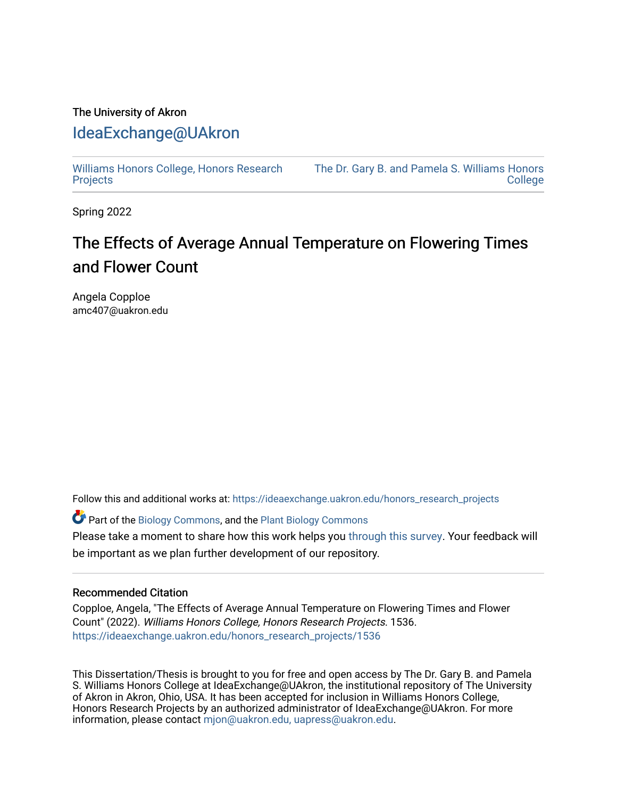# The University of Akron [IdeaExchange@UAkron](https://ideaexchange.uakron.edu/)

[Williams Honors College, Honors Research](https://ideaexchange.uakron.edu/honors_research_projects)  **[Projects](https://ideaexchange.uakron.edu/honors_research_projects)** 

[The Dr. Gary B. and Pamela S. Williams Honors](https://ideaexchange.uakron.edu/honorscollege_ideas)  **College** 

Spring 2022

# The Effects of Average Annual Temperature on Flowering Times and Flower Count

Angela Copploe amc407@uakron.edu

Follow this and additional works at: [https://ideaexchange.uakron.edu/honors\\_research\\_projects](https://ideaexchange.uakron.edu/honors_research_projects?utm_source=ideaexchange.uakron.edu%2Fhonors_research_projects%2F1536&utm_medium=PDF&utm_campaign=PDFCoverPages) 

Part of the [Biology Commons,](http://network.bepress.com/hgg/discipline/41?utm_source=ideaexchange.uakron.edu%2Fhonors_research_projects%2F1536&utm_medium=PDF&utm_campaign=PDFCoverPages) and the [Plant Biology Commons](http://network.bepress.com/hgg/discipline/106?utm_source=ideaexchange.uakron.edu%2Fhonors_research_projects%2F1536&utm_medium=PDF&utm_campaign=PDFCoverPages) 

Please take a moment to share how this work helps you [through this survey](http://survey.az1.qualtrics.com/SE/?SID=SV_eEVH54oiCbOw05f&URL=https://ideaexchange.uakron.edu/honors_research_projects/1536). Your feedback will be important as we plan further development of our repository.

#### Recommended Citation

Copploe, Angela, "The Effects of Average Annual Temperature on Flowering Times and Flower Count" (2022). Williams Honors College, Honors Research Projects. 1536. [https://ideaexchange.uakron.edu/honors\\_research\\_projects/1536](https://ideaexchange.uakron.edu/honors_research_projects/1536?utm_source=ideaexchange.uakron.edu%2Fhonors_research_projects%2F1536&utm_medium=PDF&utm_campaign=PDFCoverPages) 

This Dissertation/Thesis is brought to you for free and open access by The Dr. Gary B. and Pamela S. Williams Honors College at IdeaExchange@UAkron, the institutional repository of The University of Akron in Akron, Ohio, USA. It has been accepted for inclusion in Williams Honors College, Honors Research Projects by an authorized administrator of IdeaExchange@UAkron. For more information, please contact [mjon@uakron.edu, uapress@uakron.edu.](mailto:mjon@uakron.edu,%20uapress@uakron.edu)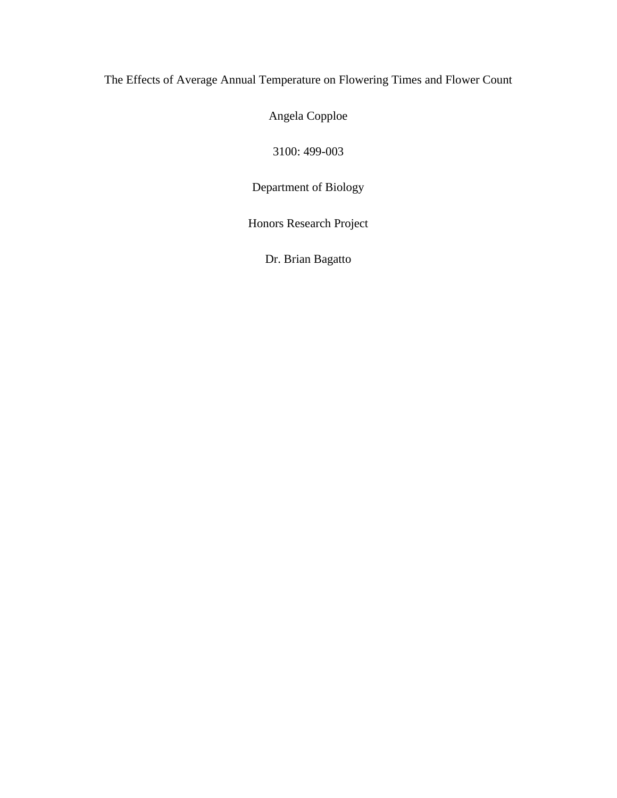# The Effects of Average Annual Temperature on Flowering Times and Flower Count

Angela Copploe

3100: 499-003

Department of Biology

Honors Research Project

Dr. Brian Bagatto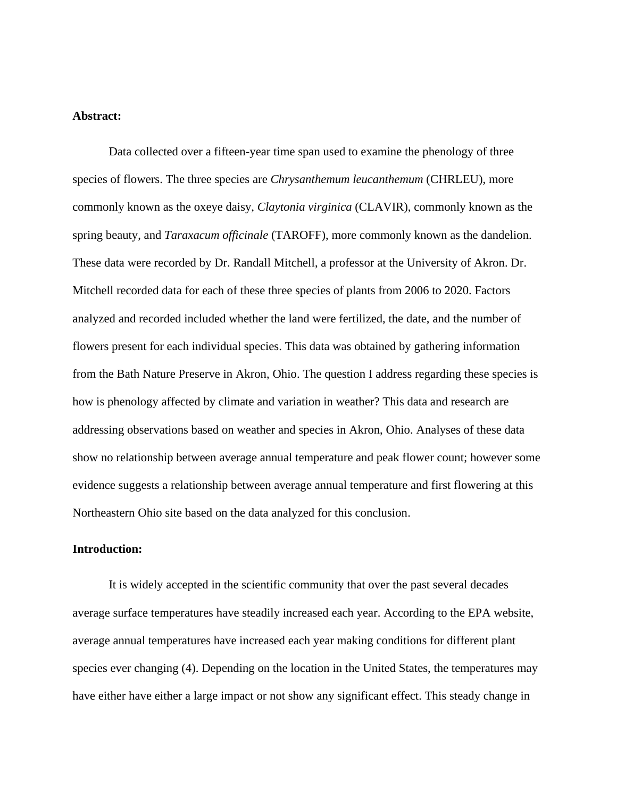#### **Abstract:**

Data collected over a fifteen-year time span used to examine the phenology of three species of flowers. The three species are *Chrysanthemum leucanthemum* (CHRLEU), more commonly known as the oxeye daisy, *Claytonia virginica* (CLAVIR), commonly known as the spring beauty, and *Taraxacum officinale* (TAROFF), more commonly known as the dandelion. These data were recorded by Dr. Randall Mitchell, a professor at the University of Akron. Dr. Mitchell recorded data for each of these three species of plants from 2006 to 2020. Factors analyzed and recorded included whether the land were fertilized, the date, and the number of flowers present for each individual species. This data was obtained by gathering information from the Bath Nature Preserve in Akron, Ohio. The question I address regarding these species is how is phenology affected by climate and variation in weather? This data and research are addressing observations based on weather and species in Akron, Ohio. Analyses of these data show no relationship between average annual temperature and peak flower count; however some evidence suggests a relationship between average annual temperature and first flowering at this Northeastern Ohio site based on the data analyzed for this conclusion.

### **Introduction:**

It is widely accepted in the scientific community that over the past several decades average surface temperatures have steadily increased each year. According to the EPA website, average annual temperatures have increased each year making conditions for different plant species ever changing (4). Depending on the location in the United States, the temperatures may have either have either a large impact or not show any significant effect. This steady change in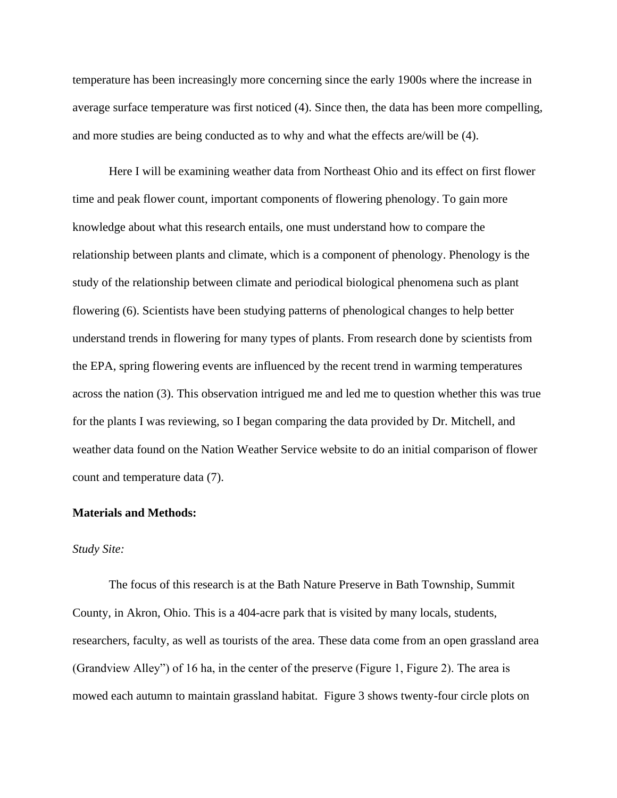temperature has been increasingly more concerning since the early 1900s where the increase in average surface temperature was first noticed (4). Since then, the data has been more compelling, and more studies are being conducted as to why and what the effects are/will be (4).

Here I will be examining weather data from Northeast Ohio and its effect on first flower time and peak flower count, important components of flowering phenology. To gain more knowledge about what this research entails, one must understand how to compare the relationship between plants and climate, which is a component of phenology. Phenology is the study of the relationship between climate and periodical biological phenomena such as plant flowering (6). Scientists have been studying patterns of phenological changes to help better understand trends in flowering for many types of plants. From research done by scientists from the EPA, spring flowering events are influenced by the recent trend in warming temperatures across the nation (3). This observation intrigued me and led me to question whether this was true for the plants I was reviewing, so I began comparing the data provided by Dr. Mitchell, and weather data found on the Nation Weather Service website to do an initial comparison of flower count and temperature data (7).

#### **Materials and Methods:**

#### *Study Site:*

The focus of this research is at the Bath Nature Preserve in Bath Township, Summit County, in Akron, Ohio. This is a 404-acre park that is visited by many locals, students, researchers, faculty, as well as tourists of the area. These data come from an open grassland area (Grandview Alley") of 16 ha, in the center of the preserve (Figure 1, Figure 2). The area is mowed each autumn to maintain grassland habitat. Figure 3 shows twenty-four circle plots on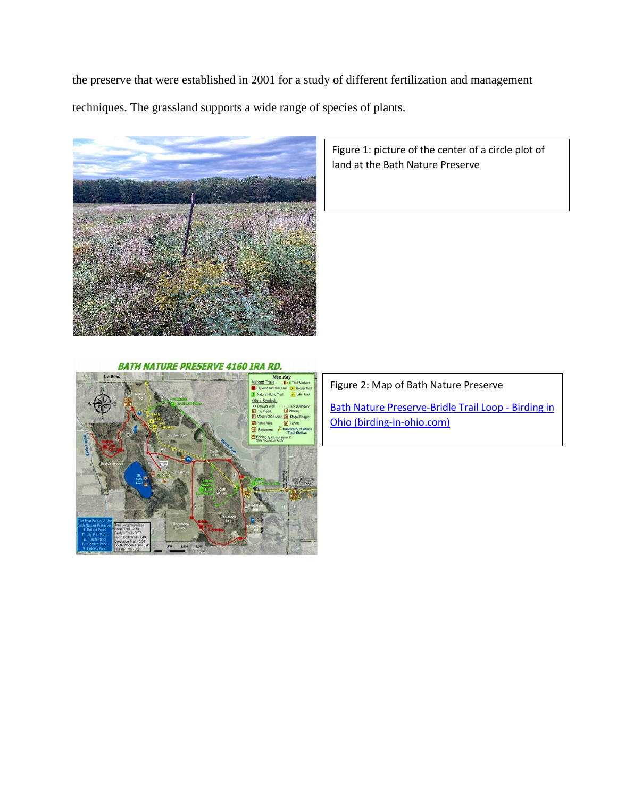the preserve that were established in 2001 for a study of different fertilization and management

techniques. The grassland supports a wide range of species of plants.



Figure 1: picture of the center of a circle plot of land at the Bath Nature Preserve

## **BATH NATURE PRESERVE 4160 IRA RD.**



Figure 2: Map of Bath Nature Preserve

[Bath Nature Preserve-Bridle Trail Loop -](https://birding-in-ohio.com/summit-county/bath-nature-preserve-bridle-trail-loop/) Birding in [Ohio \(birding-in-ohio.com\)](https://birding-in-ohio.com/summit-county/bath-nature-preserve-bridle-trail-loop/)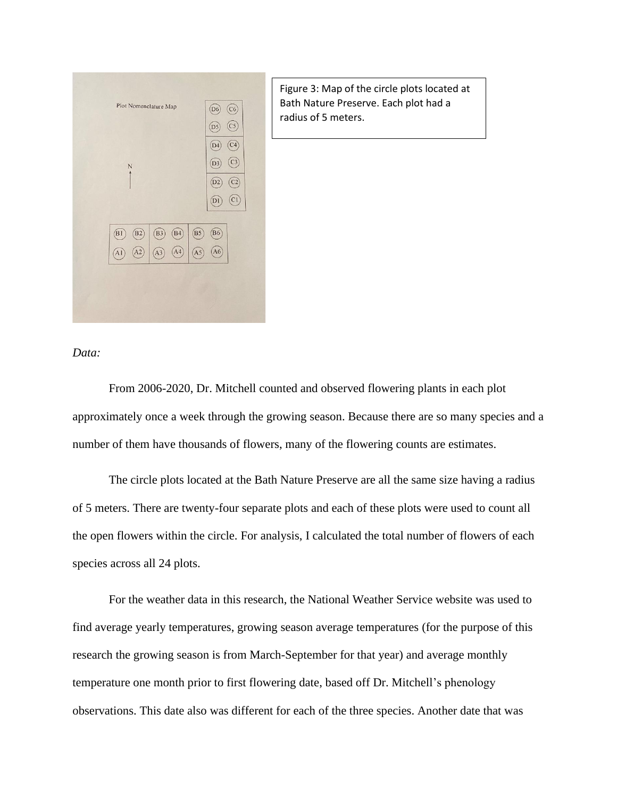| Plot Nomenclature Map                  | (C6)<br>D <sub>6</sub><br>(C5)<br>D <sub>5</sub>                |
|----------------------------------------|-----------------------------------------------------------------|
|                                        |                                                                 |
|                                        | C <sub>4</sub><br>D <sub>4</sub>                                |
| N                                      | C <sub>3</sub><br>D <sub>3</sub>                                |
|                                        | D <sub>2</sub><br>C <sub>2</sub>                                |
|                                        | CI<br>D <sub>1</sub>                                            |
|                                        |                                                                 |
| $\overrightarrow{B3}$<br>B1<br>B2      | $\widehat{B5}$<br>B <sub>6</sub><br>$\left(\frac{B4}{2}\right)$ |
| $\widehat{A3}$<br>A2<br>$\overline{A}$ | A4<br>A <sub>6</sub><br>A5                                      |
|                                        |                                                                 |

Figure 3: Map of the circle plots located at Bath Nature Preserve. Each plot had a radius of 5 meters.

#### *Data:*

From 2006-2020, Dr. Mitchell counted and observed flowering plants in each plot approximately once a week through the growing season. Because there are so many species and a number of them have thousands of flowers, many of the flowering counts are estimates.

The circle plots located at the Bath Nature Preserve are all the same size having a radius of 5 meters. There are twenty-four separate plots and each of these plots were used to count all the open flowers within the circle. For analysis, I calculated the total number of flowers of each species across all 24 plots.

For the weather data in this research, the National Weather Service website was used to find average yearly temperatures, growing season average temperatures (for the purpose of this research the growing season is from March-September for that year) and average monthly temperature one month prior to first flowering date, based off Dr. Mitchell's phenology observations. This date also was different for each of the three species. Another date that was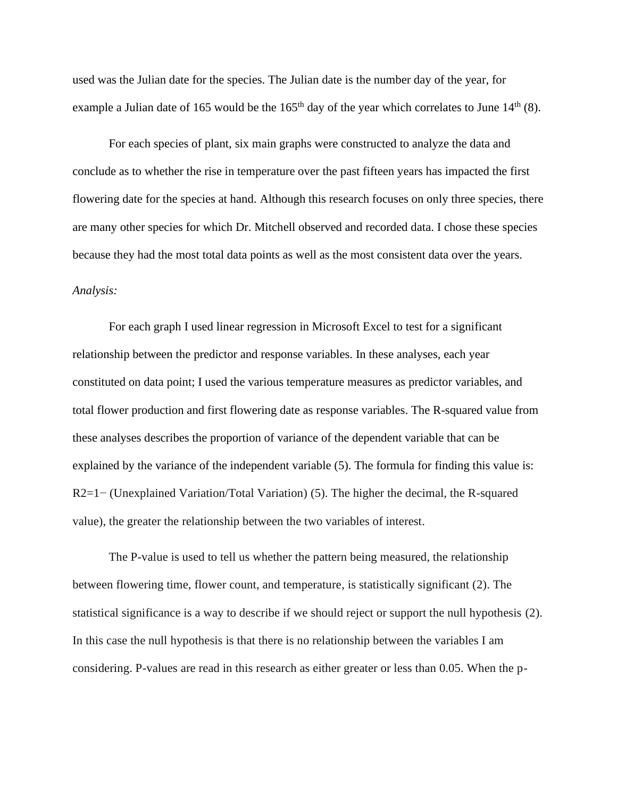used was the Julian date for the species. The Julian date is the number day of the year, for example a Julian date of 165 would be the  $165<sup>th</sup>$  day of the year which correlates to June  $14<sup>th</sup>$  (8).

For each species of plant, six main graphs were constructed to analyze the data and conclude as to whether the rise in temperature over the past fifteen years has impacted the first flowering date for the species at hand. Although this research focuses on only three species, there are many other species for which Dr. Mitchell observed and recorded data. I chose these species because they had the most total data points as well as the most consistent data over the years.

# *Analysis:*

For each graph I used linear regression in Microsoft Excel to test for a significant relationship between the predictor and response variables. In these analyses, each year constituted on data point; I used the various temperature measures as predictor variables, and total flower production and first flowering date as response variables. The R-squared value from these analyses describes the proportion of variance of the dependent variable that can be explained by the variance of the independent variable (5). The formula for finding this value is: R2=1− (Unexplained Variation/Total Variation) (5). The higher the decimal, the R-squared value), the greater the relationship between the two variables of interest.

The P-value is used to tell us whether the pattern being measured, the relationship between flowering time, flower count, and temperature, is statistically significant (2). The statistical significance is a way to describe if we should reject or support the null hypothesis (2). In this case the null hypothesis is that there is no relationship between the variables I am considering. P-values are read in this research as either greater or less than 0.05. When the p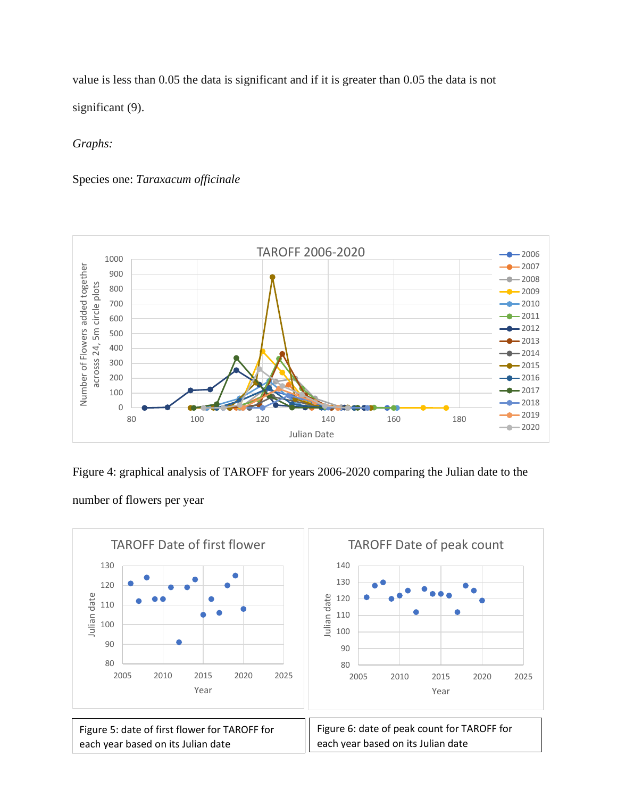value is less than 0.05 the data is significant and if it is greater than 0.05 the data is not significant (9).

*Graphs:*

Species one: *Taraxacum officinale*



Figure 4: graphical analysis of TAROFF for years 2006-2020 comparing the Julian date to the

number of flowers per year

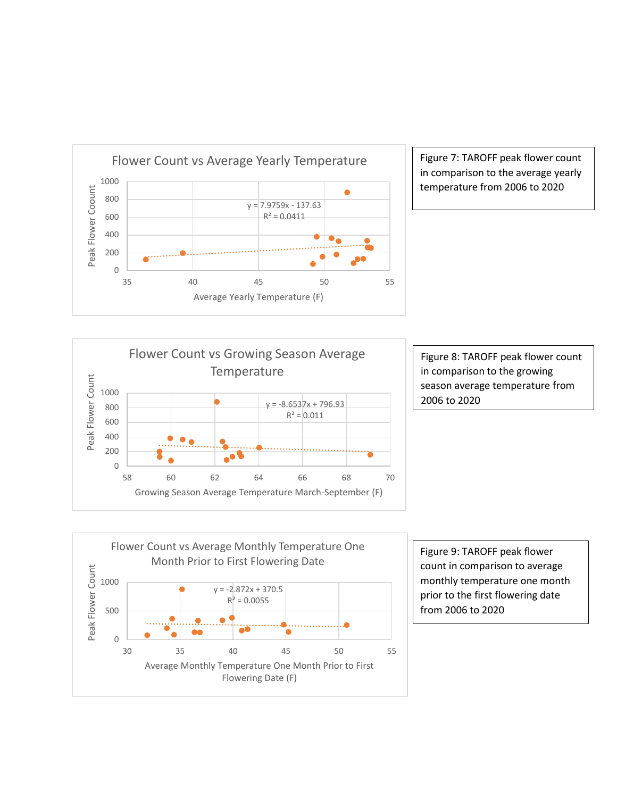

Figure 7: TAROFF peak flower count in comparison to the average yearly temperature from 2006 to 2020



Figure 8: TAROFF peak flower count in comparison to the growing season average temperature from 2006 to 2020



Figure 9: TAROFF peak flower count in comparison to average monthly temperature one month prior to the first flowering date from 2006 to 2020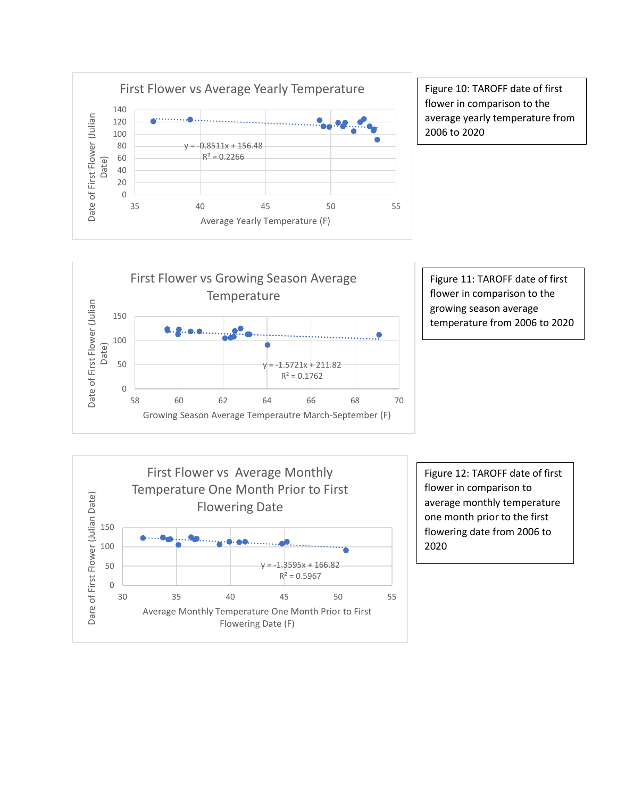

Figure 10: TAROFF date of first flower in comparison to the average yearly temperature from 2006 to 2020



Figure 11: TAROFF date of first flower in comparison to the growing season average temperature from 2006 to 2020



Figure 12: TAROFF date of first flower in comparison to average monthly temperature one month prior to the first flowering date from 2006 to 2020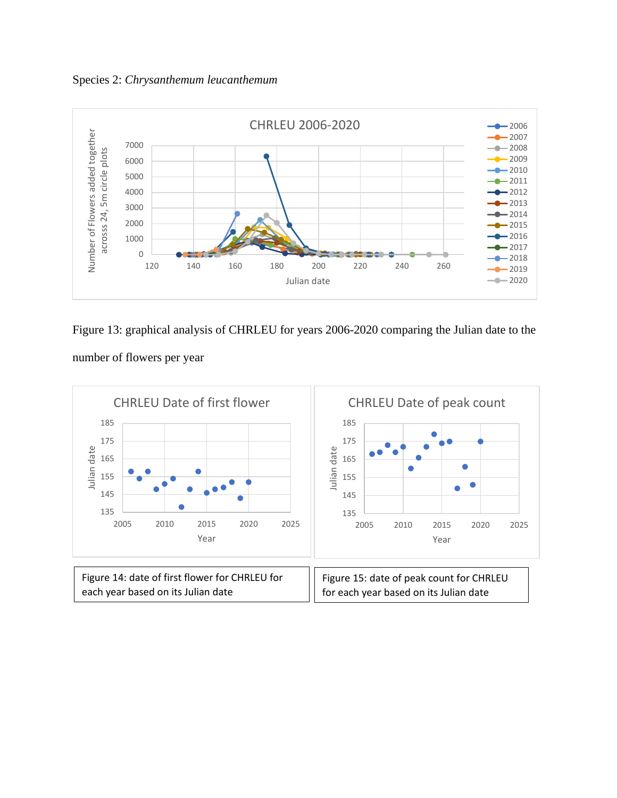Species 2: *Chrysanthemum leucanthemum* 



Figure 13: graphical analysis of CHRLEU for years 2006-2020 comparing the Julian date to the number of flowers per year

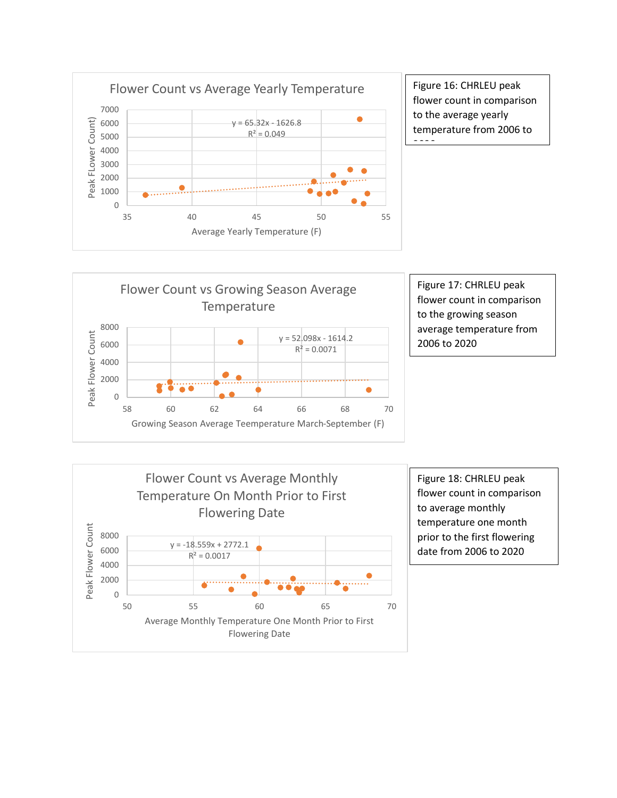

Figure 16: CHRLEU peak flower count in comparison to the average yearly temperature from 2006 to



Figure 17: CHRLEU peak flower count in comparison to the growing season average temperature from 2006 to 2020



Figure 18: CHRLEU peak flower count in comparison to average monthly temperature one month prior to the first flowering date from 2006 to 2020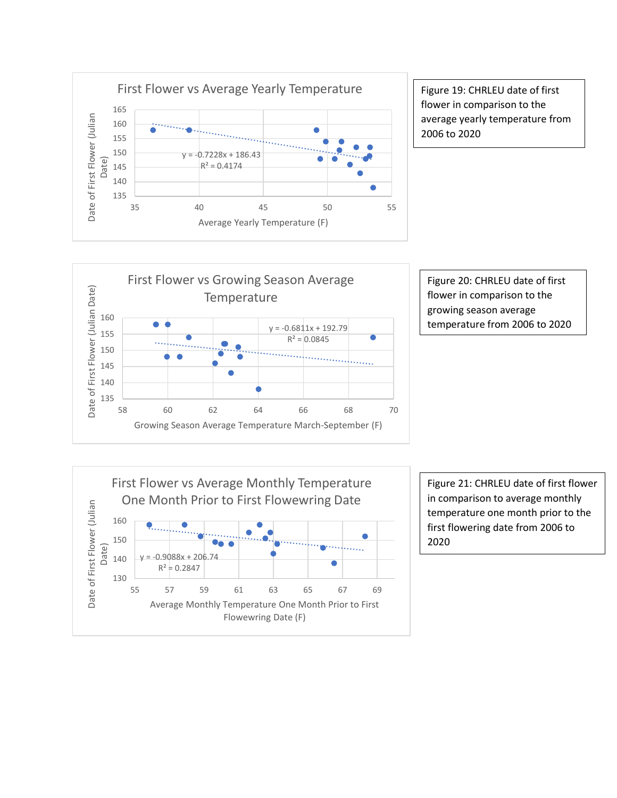

Figure 19: CHRLEU date of first flower in comparison to the average yearly temperature from 2006 to 2020







Figure 21: CHRLEU date of first flower in comparison to average monthly temperature one month prior to the first flowering date from 2006 to 2020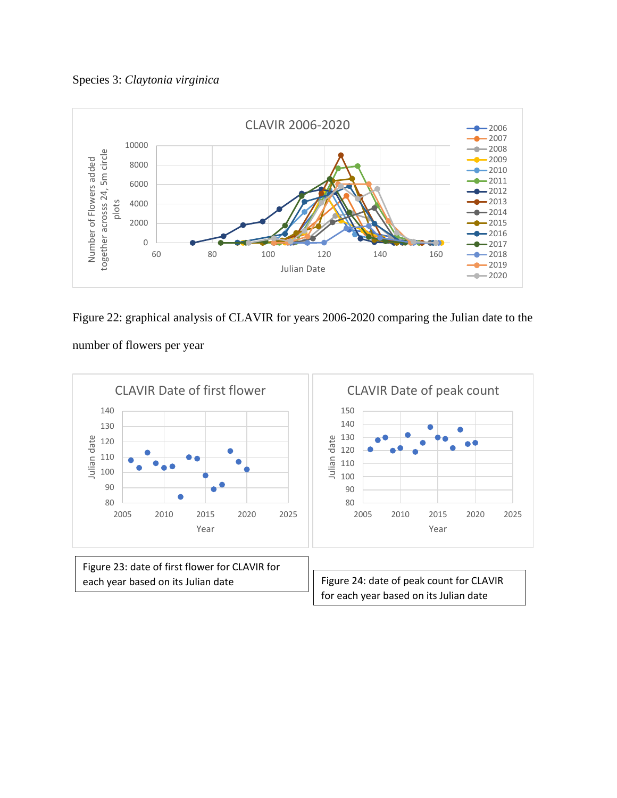Species 3: *Claytonia virginica* 



Figure 22: graphical analysis of CLAVIR for years 2006-2020 comparing the Julian date to the



number of flowers per year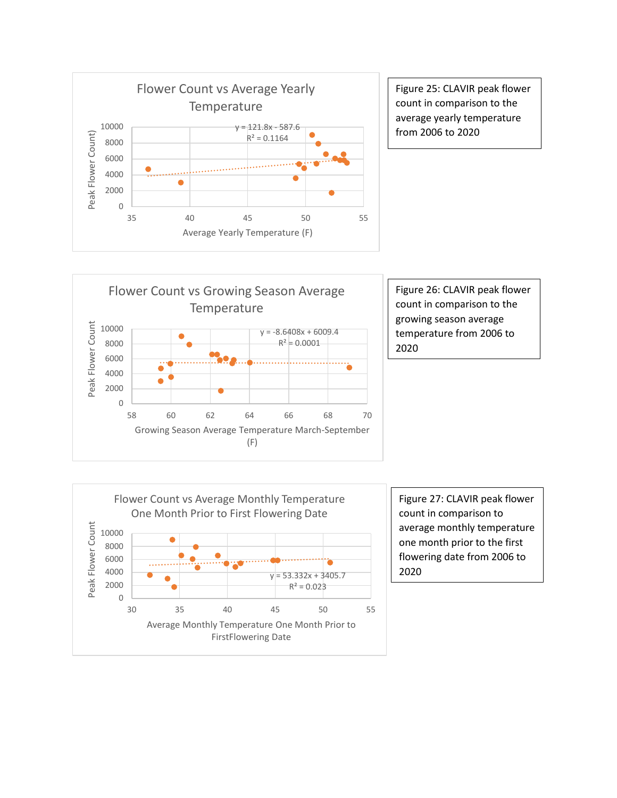

Figure 25: CLAVIR peak flower count in comparison to the average yearly temperature from 2006 to 2020



Figure 26: CLAVIR peak flower count in comparison to the growing season average temperature from 2006 to 2020



Figure 27: CLAVIR peak flower count in comparison to average monthly temperature one month prior to the first flowering date from 2006 to 2020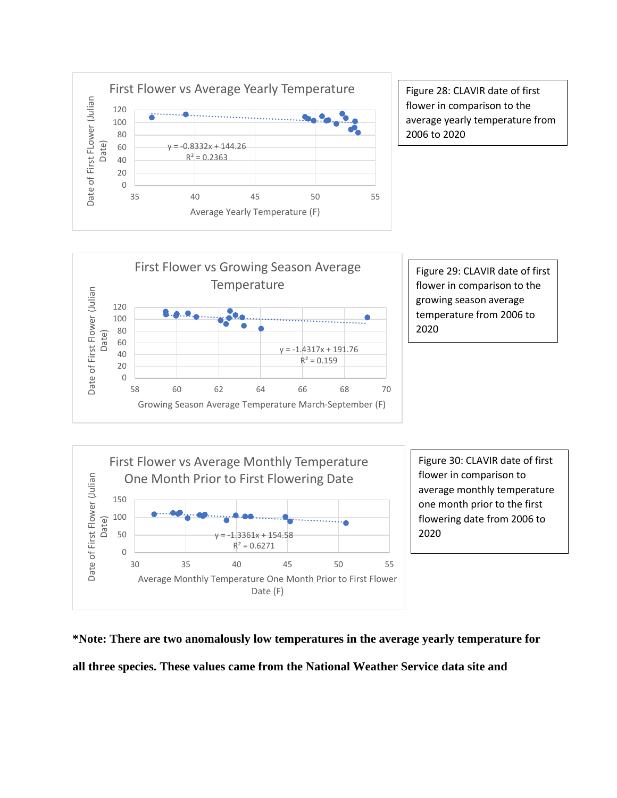

Figure 28: CLAVIR date of first flower in comparison to the average yearly temperature from 2006 to 2020



Figure 29: CLAVIR date of first flower in comparison to the growing season average temperature from 2006 to 2020



**\*Note: There are two anomalously low temperatures in the average yearly temperature for all three species. These values came from the National Weather Service data site and**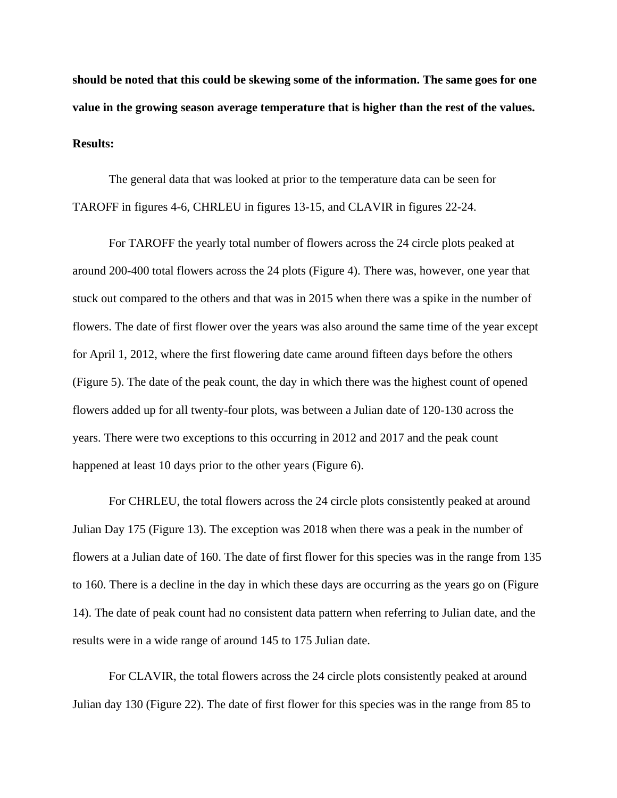**should be noted that this could be skewing some of the information. The same goes for one value in the growing season average temperature that is higher than the rest of the values. Results:**

The general data that was looked at prior to the temperature data can be seen for TAROFF in figures 4-6, CHRLEU in figures 13-15, and CLAVIR in figures 22-24.

For TAROFF the yearly total number of flowers across the 24 circle plots peaked at around 200-400 total flowers across the 24 plots (Figure 4). There was, however, one year that stuck out compared to the others and that was in 2015 when there was a spike in the number of flowers. The date of first flower over the years was also around the same time of the year except for April 1, 2012, where the first flowering date came around fifteen days before the others (Figure 5). The date of the peak count, the day in which there was the highest count of opened flowers added up for all twenty-four plots, was between a Julian date of 120-130 across the years. There were two exceptions to this occurring in 2012 and 2017 and the peak count happened at least 10 days prior to the other years (Figure 6).

For CHRLEU, the total flowers across the 24 circle plots consistently peaked at around Julian Day 175 (Figure 13). The exception was 2018 when there was a peak in the number of flowers at a Julian date of 160. The date of first flower for this species was in the range from 135 to 160. There is a decline in the day in which these days are occurring as the years go on (Figure 14). The date of peak count had no consistent data pattern when referring to Julian date, and the results were in a wide range of around 145 to 175 Julian date.

For CLAVIR, the total flowers across the 24 circle plots consistently peaked at around Julian day 130 (Figure 22). The date of first flower for this species was in the range from 85 to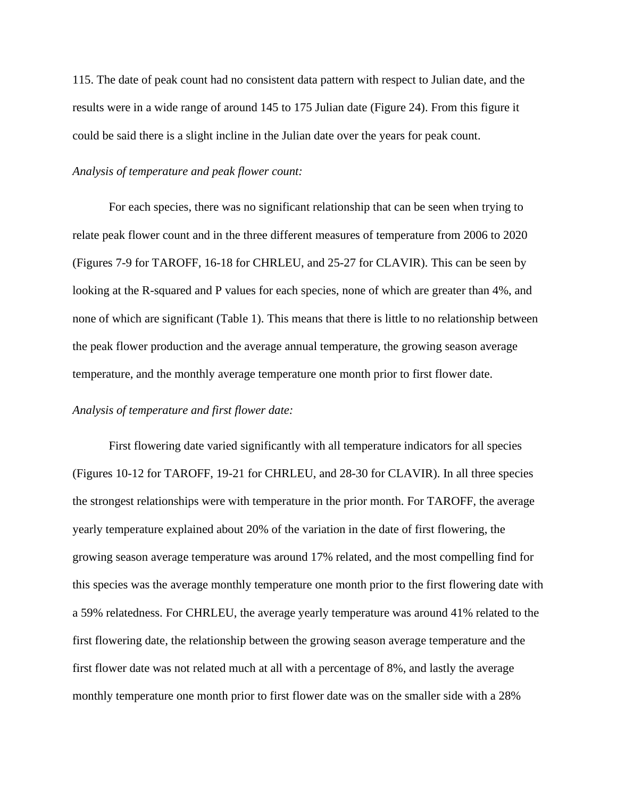115. The date of peak count had no consistent data pattern with respect to Julian date, and the results were in a wide range of around 145 to 175 Julian date (Figure 24). From this figure it could be said there is a slight incline in the Julian date over the years for peak count.

#### *Analysis of temperature and peak flower count:*

For each species, there was no significant relationship that can be seen when trying to relate peak flower count and in the three different measures of temperature from 2006 to 2020 (Figures 7-9 for TAROFF, 16-18 for CHRLEU, and 25-27 for CLAVIR). This can be seen by looking at the R-squared and P values for each species, none of which are greater than 4%, and none of which are significant (Table 1). This means that there is little to no relationship between the peak flower production and the average annual temperature, the growing season average temperature, and the monthly average temperature one month prior to first flower date.

#### *Analysis of temperature and first flower date:*

First flowering date varied significantly with all temperature indicators for all species (Figures 10-12 for TAROFF, 19-21 for CHRLEU, and 28-30 for CLAVIR). In all three species the strongest relationships were with temperature in the prior month. For TAROFF, the average yearly temperature explained about 20% of the variation in the date of first flowering, the growing season average temperature was around 17% related, and the most compelling find for this species was the average monthly temperature one month prior to the first flowering date with a 59% relatedness. For CHRLEU, the average yearly temperature was around 41% related to the first flowering date, the relationship between the growing season average temperature and the first flower date was not related much at all with a percentage of 8%, and lastly the average monthly temperature one month prior to first flower date was on the smaller side with a 28%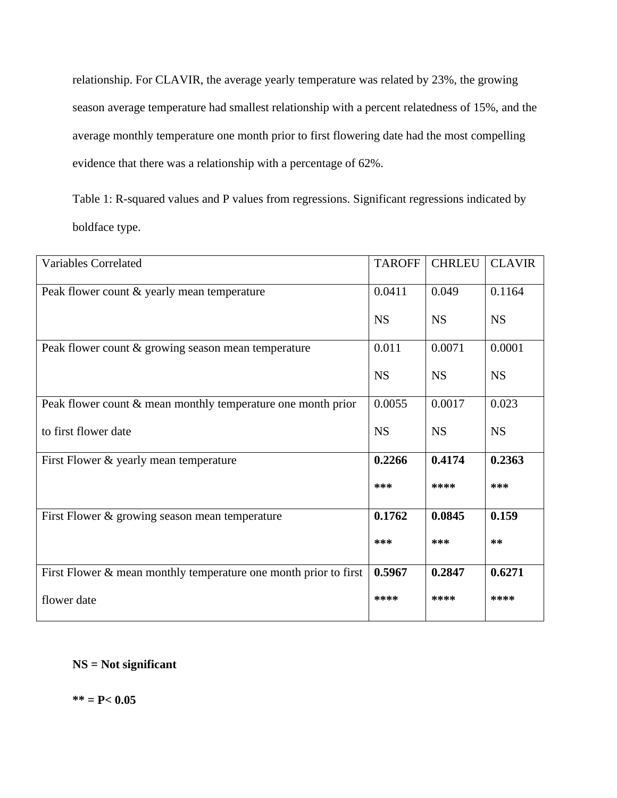relationship. For CLAVIR, the average yearly temperature was related by 23%, the growing season average temperature had smallest relationship with a percent relatedness of 15%, and the average monthly temperature one month prior to first flowering date had the most compelling evidence that there was a relationship with a percentage of 62%.

Table 1: R-squared values and P values from regressions. Significant regressions indicated by boldface type.

| <b>Variables Correlated</b>                                        | <b>TAROFF</b> | <b>CHRLEU</b> | <b>CLAVIR</b> |
|--------------------------------------------------------------------|---------------|---------------|---------------|
| Peak flower count & yearly mean temperature                        | 0.0411        | 0.049         | 0.1164        |
|                                                                    | <b>NS</b>     | <b>NS</b>     | <b>NS</b>     |
| Peak flower count & growing season mean temperature                | 0.011         | 0.0071        | 0.0001        |
|                                                                    | <b>NS</b>     | <b>NS</b>     | <b>NS</b>     |
| Peak flower count $\&$ mean monthly temperature one month prior    | 0.0055        | 0.0017        | 0.023         |
| to first flower date                                               | <b>NS</b>     | <b>NS</b>     | <b>NS</b>     |
| First Flower & yearly mean temperature                             | 0.2266        | 0.4174        | 0.2363        |
|                                                                    | ***           | ****          | ***           |
| First Flower & growing season mean temperature                     | 0.1762        | 0.0845        | 0.159         |
|                                                                    | $***$         | $***$         | $***$         |
| First Flower $&$ mean monthly temperature one month prior to first | 0.5967        | 0.2847        | 0.6271        |
| flower date                                                        | ****          | ****          | ****          |

**NS = Not significant** 

**\*\* = P< 0.05**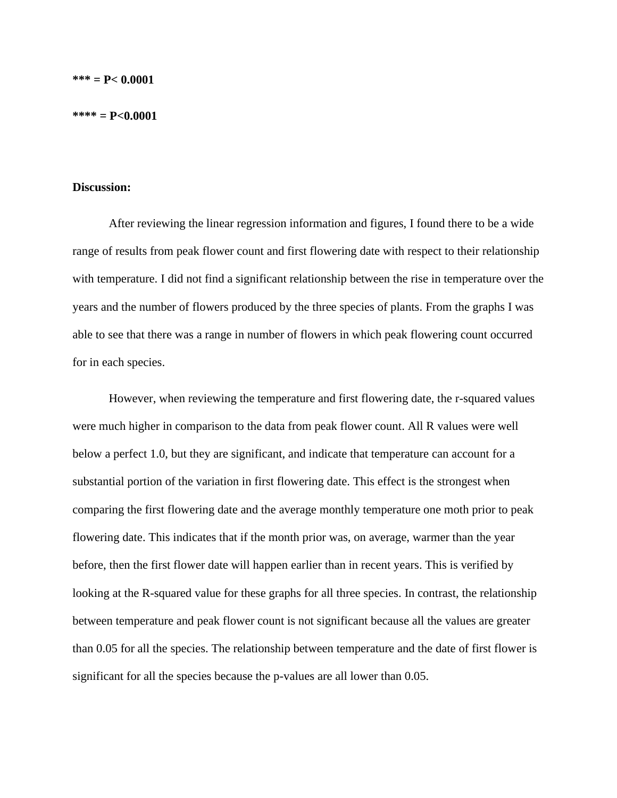#### **\*\*\*\* = P<0.0001**

#### **Discussion:**

After reviewing the linear regression information and figures, I found there to be a wide range of results from peak flower count and first flowering date with respect to their relationship with temperature. I did not find a significant relationship between the rise in temperature over the years and the number of flowers produced by the three species of plants. From the graphs I was able to see that there was a range in number of flowers in which peak flowering count occurred for in each species.

However, when reviewing the temperature and first flowering date, the r-squared values were much higher in comparison to the data from peak flower count. All R values were well below a perfect 1.0, but they are significant, and indicate that temperature can account for a substantial portion of the variation in first flowering date. This effect is the strongest when comparing the first flowering date and the average monthly temperature one moth prior to peak flowering date. This indicates that if the month prior was, on average, warmer than the year before, then the first flower date will happen earlier than in recent years. This is verified by looking at the R-squared value for these graphs for all three species. In contrast, the relationship between temperature and peak flower count is not significant because all the values are greater than 0.05 for all the species. The relationship between temperature and the date of first flower is significant for all the species because the p-values are all lower than 0.05.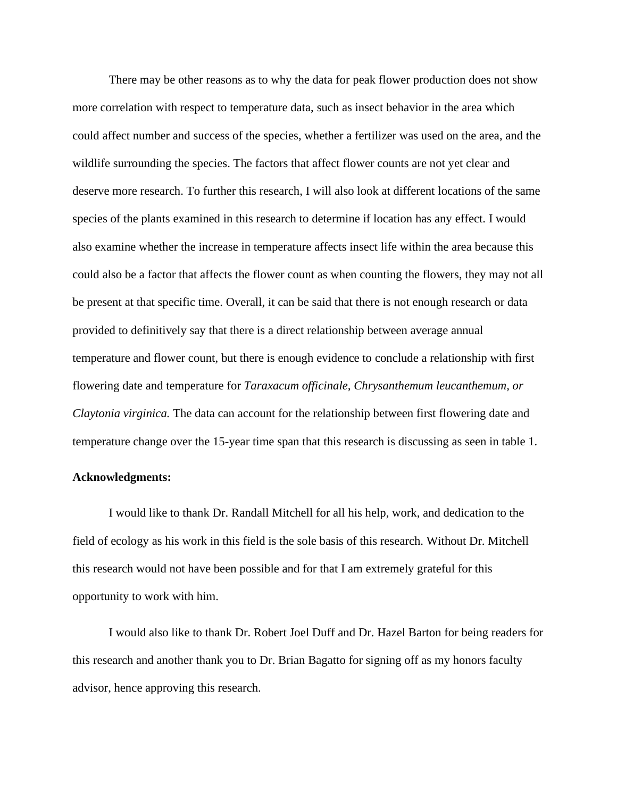There may be other reasons as to why the data for peak flower production does not show more correlation with respect to temperature data, such as insect behavior in the area which could affect number and success of the species, whether a fertilizer was used on the area, and the wildlife surrounding the species. The factors that affect flower counts are not yet clear and deserve more research. To further this research, I will also look at different locations of the same species of the plants examined in this research to determine if location has any effect. I would also examine whether the increase in temperature affects insect life within the area because this could also be a factor that affects the flower count as when counting the flowers, they may not all be present at that specific time. Overall, it can be said that there is not enough research or data provided to definitively say that there is a direct relationship between average annual temperature and flower count, but there is enough evidence to conclude a relationship with first flowering date and temperature for *Taraxacum officinale, Chrysanthemum leucanthemum, or Claytonia virginica.* The data can account for the relationship between first flowering date and temperature change over the 15-year time span that this research is discussing as seen in table 1.

#### **Acknowledgments:**

I would like to thank Dr. Randall Mitchell for all his help, work, and dedication to the field of ecology as his work in this field is the sole basis of this research. Without Dr. Mitchell this research would not have been possible and for that I am extremely grateful for this opportunity to work with him.

I would also like to thank Dr. Robert Joel Duff and Dr. Hazel Barton for being readers for this research and another thank you to Dr. Brian Bagatto for signing off as my honors faculty advisor, hence approving this research.